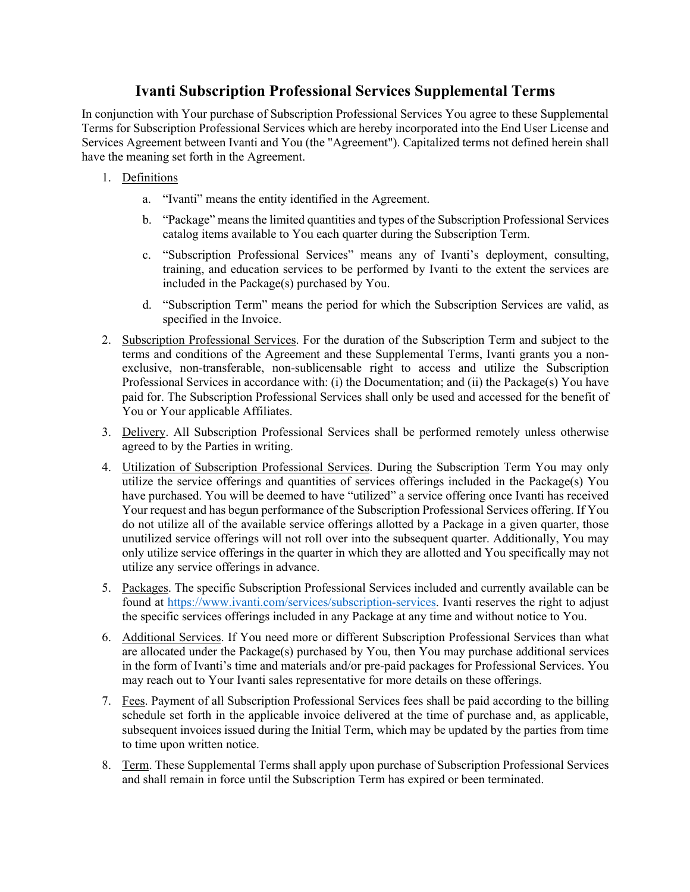## **Ivanti Subscription Professional Services Supplemental Terms**

In conjunction with Your purchase of Subscription Professional Services You agree to these Supplemental Terms for Subscription Professional Services which are hereby incorporated into the End User License and Services Agreement between Ivanti and You (the "Agreement"). Capitalized terms not defined herein shall have the meaning set forth in the Agreement.

- 1. Definitions
	- a. "Ivanti" means the entity identified in the Agreement.
	- b. "Package" means the limited quantities and types of the Subscription Professional Services catalog items available to You each quarter during the Subscription Term.
	- c. "Subscription Professional Services" means any of Ivanti's deployment, consulting, training, and education services to be performed by Ivanti to the extent the services are included in the Package(s) purchased by You.
	- d. "Subscription Term" means the period for which the Subscription Services are valid, as specified in the Invoice.
- 2. Subscription Professional Services. For the duration of the Subscription Term and subject to the terms and conditions of the Agreement and these Supplemental Terms, Ivanti grants you a nonexclusive, non-transferable, non-sublicensable right to access and utilize the Subscription Professional Services in accordance with: (i) the Documentation; and (ii) the Package(s) You have paid for. The Subscription Professional Services shall only be used and accessed for the benefit of You or Your applicable Affiliates.
- 3. Delivery. All Subscription Professional Services shall be performed remotely unless otherwise agreed to by the Parties in writing.
- 4. Utilization of Subscription Professional Services. During the Subscription Term You may only utilize the service offerings and quantities of services offerings included in the Package(s) You have purchased. You will be deemed to have "utilized" a service offering once Ivanti has received Your request and has begun performance of the Subscription Professional Services offering. If You do not utilize all of the available service offerings allotted by a Package in a given quarter, those unutilized service offerings will not roll over into the subsequent quarter. Additionally, You may only utilize service offerings in the quarter in which they are allotted and You specifically may not utilize any service offerings in advance.
- 5. Packages. The specific Subscription Professional Services included and currently available can be found at https://www.ivanti.com/services/subscription-services. Ivanti reserves the right to adjust the specific services offerings included in any Package at any time and without notice to You.
- 6. Additional Services. If You need more or different Subscription Professional Services than what are allocated under the Package(s) purchased by You, then You may purchase additional services in the form of Ivanti's time and materials and/or pre-paid packages for Professional Services. You may reach out to Your Ivanti sales representative for more details on these offerings.
- 7. Fees. Payment of all Subscription Professional Services fees shall be paid according to the billing schedule set forth in the applicable invoice delivered at the time of purchase and, as applicable, subsequent invoices issued during the Initial Term, which may be updated by the parties from time to time upon written notice.
- 8. Term. These Supplemental Terms shall apply upon purchase of Subscription Professional Services and shall remain in force until the Subscription Term has expired or been terminated.